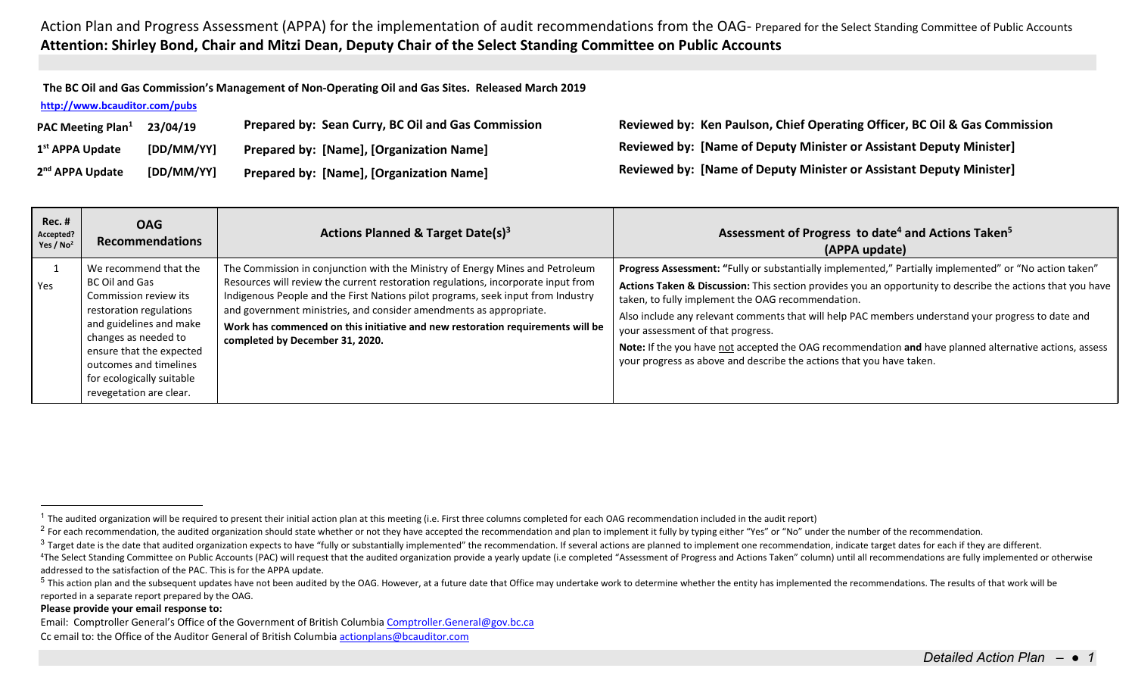**The BC Oil and Gas Commission's Management of Non‐Operating Oil and Gas Sites. Released March 2019** 

## **http://www.bcauditor.com/pubs**

| <b>PAC Meeting Plan</b> <sup>1</sup> | 23/04/19   | Prepared by: Sean Curry, BC Oil and Gas Commission | Reviewed by: Ken Paulson, Chief Operating Officer, BC Oil & Gas Commission |
|--------------------------------------|------------|----------------------------------------------------|----------------------------------------------------------------------------|
| 1 <sup>st</sup> APPA Update          | [DD/MM/YY] | <b>Prepared by: [Name], [Organization Name]</b>    | Reviewed by: [Name of Deputy Minister or Assistant Deputy Minister]        |
| 2 <sup>nd</sup> APPA Update          | [DD/MM/YY] | <b>Prepared by: [Name], [Organization Name]</b>    | <b>Reviewed by: [Name of Deputy Minister or Assistant Deputy Minister]</b> |

| <b>Rec. #</b><br>Accepted?<br>Yes / $No2$ | <b>OAG</b><br><b>Recommendations</b>                                                                                                                                                                                                                         | <b>Actions Planned &amp; Target Date(s)<sup>3</sup></b>                                                                                                                                                                                                                                                                                                                                                                                           | Assessment of Progress to date <sup>4</sup> and Actions Taken <sup>5</sup><br>(APPA update)                                                                                                                                                                                                                                                                                                                                                                                                                                                                                                            |
|-------------------------------------------|--------------------------------------------------------------------------------------------------------------------------------------------------------------------------------------------------------------------------------------------------------------|---------------------------------------------------------------------------------------------------------------------------------------------------------------------------------------------------------------------------------------------------------------------------------------------------------------------------------------------------------------------------------------------------------------------------------------------------|--------------------------------------------------------------------------------------------------------------------------------------------------------------------------------------------------------------------------------------------------------------------------------------------------------------------------------------------------------------------------------------------------------------------------------------------------------------------------------------------------------------------------------------------------------------------------------------------------------|
| Yes                                       | We recommend that the<br>BC Oil and Gas<br>Commission review its<br>restoration regulations<br>and guidelines and make<br>changes as needed to<br>ensure that the expected<br>outcomes and timelines<br>for ecologically suitable<br>revegetation are clear. | The Commission in conjunction with the Ministry of Energy Mines and Petroleum<br>Resources will review the current restoration regulations, incorporate input from<br>Indigenous People and the First Nations pilot programs, seek input from Industry<br>and government ministries, and consider amendments as appropriate.<br>Work has commenced on this initiative and new restoration requirements will be<br>completed by December 31, 2020. | Progress Assessment: "Fully or substantially implemented," Partially implemented" or "No action taken"<br>Actions Taken & Discussion: This section provides you an opportunity to describe the actions that you have<br>taken, to fully implement the OAG recommendation.<br>Also include any relevant comments that will help PAC members understand your progress to date and<br>your assessment of that progress.<br>Note: If the you have not accepted the OAG recommendation and have planned alternative actions, assess<br>your progress as above and describe the actions that you have taken. |

## **Please provide your email response to:**

<sup>&</sup>lt;sup>1</sup> The audited organization will be required to present their initial action plan at this meeting (i.e. First three columns completed for each OAG recommendation included in the audit report)

<sup>&</sup>lt;sup>2</sup> For each recommendation, the audited organization should state whether or not they have accepted the recommendation and plan to implement it fully by typing either "Yes" or "No" under the number of the recommendation.

 $3$  Target date is the date that audited organization expects to have "fully or substantially implemented" the recommendation. If several actions are planned to implement one recommendation, indicate target dates for each

<sup>&</sup>lt;sup>4</sup>The Select Standing Committee on Public Accounts (PAC) will request that the audited organization provide a yearly update (i.e completed "Assessment of Progress and Actions Taken" column) until all recommendations are f addressed to the satisfaction of the PAC. This is for the APPA update.

<sup>&</sup>lt;sup>5</sup> This action plan and the subsequent updates have not been audited by the OAG. However, at a future date that Office may undertake work to determine whether the entity has implemented the recommendations. The results of reported in a separate report prepared by the OAG.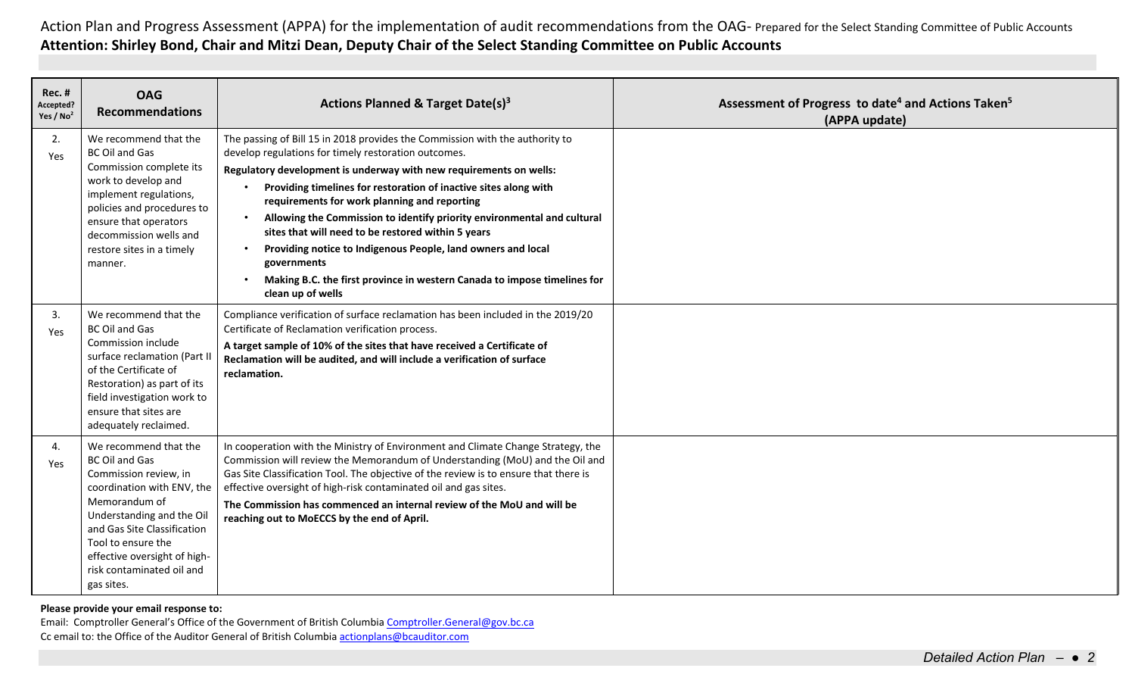| <b>Rec. #</b><br>Accepted?<br>Yes / No <sup>2</sup> | <b>OAG</b><br><b>Recommendations</b>                                                                                                                                                                                                                                                | Actions Planned & Target Date(s) <sup>3</sup>                                                                                                                                                                                                                                                                                                                                                                                                                                                                                                                                                                                                                             | Assessment of Progress to date <sup>4</sup> and Actions Taken <sup>5</sup><br>(APPA update) |
|-----------------------------------------------------|-------------------------------------------------------------------------------------------------------------------------------------------------------------------------------------------------------------------------------------------------------------------------------------|---------------------------------------------------------------------------------------------------------------------------------------------------------------------------------------------------------------------------------------------------------------------------------------------------------------------------------------------------------------------------------------------------------------------------------------------------------------------------------------------------------------------------------------------------------------------------------------------------------------------------------------------------------------------------|---------------------------------------------------------------------------------------------|
| 2.<br>Yes                                           | We recommend that the<br><b>BC Oil and Gas</b><br>Commission complete its<br>work to develop and<br>implement regulations,<br>policies and procedures to<br>ensure that operators<br>decommission wells and<br>restore sites in a timely<br>manner.                                 | The passing of Bill 15 in 2018 provides the Commission with the authority to<br>develop regulations for timely restoration outcomes.<br>Regulatory development is underway with new requirements on wells:<br>Providing timelines for restoration of inactive sites along with<br>requirements for work planning and reporting<br>Allowing the Commission to identify priority environmental and cultural<br>$\bullet$<br>sites that will need to be restored within 5 years<br>Providing notice to Indigenous People, land owners and local<br>$\bullet$<br>governments<br>Making B.C. the first province in western Canada to impose timelines for<br>clean up of wells |                                                                                             |
| 3.<br>Yes                                           | We recommend that the<br><b>BC Oil and Gas</b><br>Commission include<br>surface reclamation (Part II<br>of the Certificate of<br>Restoration) as part of its<br>field investigation work to<br>ensure that sites are<br>adequately reclaimed.                                       | Compliance verification of surface reclamation has been included in the 2019/20<br>Certificate of Reclamation verification process.<br>A target sample of 10% of the sites that have received a Certificate of<br>Reclamation will be audited, and will include a verification of surface<br>reclamation.                                                                                                                                                                                                                                                                                                                                                                 |                                                                                             |
| 4.<br><b>Yes</b>                                    | We recommend that the<br><b>BC Oil and Gas</b><br>Commission review, in<br>coordination with ENV, the<br>Memorandum of<br>Understanding and the Oil<br>and Gas Site Classification<br>Tool to ensure the<br>effective oversight of high-<br>risk contaminated oil and<br>gas sites. | In cooperation with the Ministry of Environment and Climate Change Strategy, the<br>Commission will review the Memorandum of Understanding (MoU) and the Oil and<br>Gas Site Classification Tool. The objective of the review is to ensure that there is<br>effective oversight of high-risk contaminated oil and gas sites.<br>The Commission has commenced an internal review of the MoU and will be<br>reaching out to MoECCS by the end of April.                                                                                                                                                                                                                     |                                                                                             |

**Please provide your email response to:**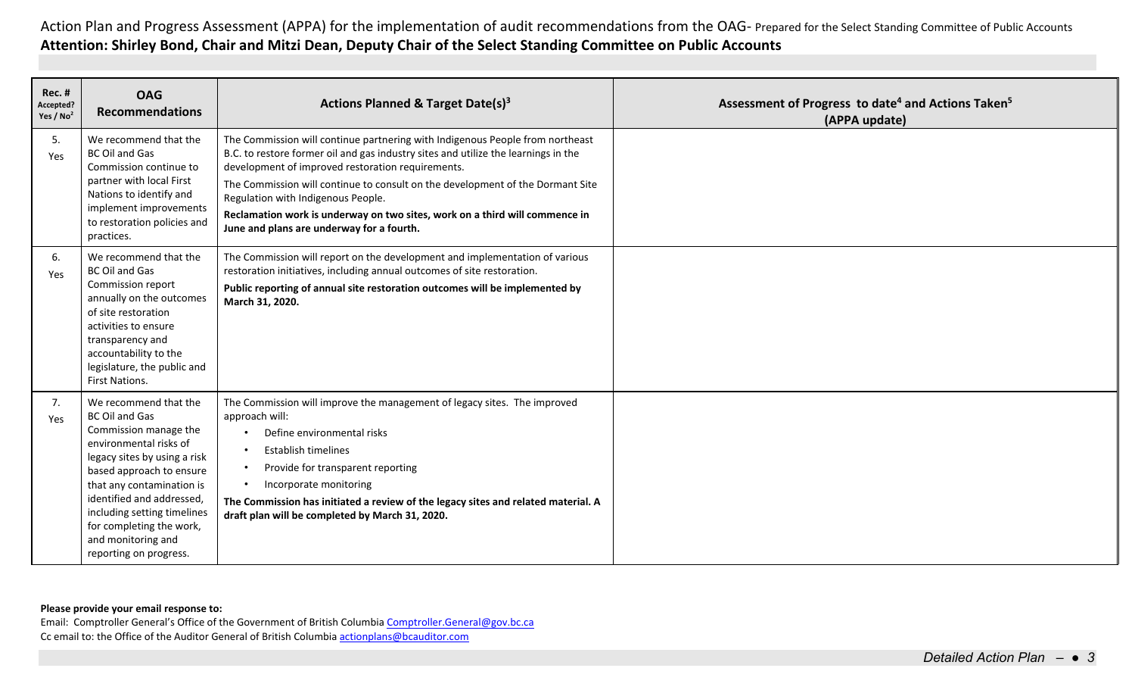| <b>Rec. #</b><br>Accepted?<br>Yes / $No2$ | <b>OAG</b><br><b>Recommendations</b>                                                                                                                                                                                                                                                                                               | Actions Planned & Target Date(s) <sup>3</sup>                                                                                                                                                                                                                                                                                                                                                                                                                                | Assessment of Progress to date <sup>4</sup> and Actions Taken <sup>5</sup><br>(APPA update) |
|-------------------------------------------|------------------------------------------------------------------------------------------------------------------------------------------------------------------------------------------------------------------------------------------------------------------------------------------------------------------------------------|------------------------------------------------------------------------------------------------------------------------------------------------------------------------------------------------------------------------------------------------------------------------------------------------------------------------------------------------------------------------------------------------------------------------------------------------------------------------------|---------------------------------------------------------------------------------------------|
| -5.<br>Yes                                | We recommend that the<br><b>BC Oil and Gas</b><br>Commission continue to<br>partner with local First<br>Nations to identify and<br>implement improvements<br>to restoration policies and<br>practices.                                                                                                                             | The Commission will continue partnering with Indigenous People from northeast<br>B.C. to restore former oil and gas industry sites and utilize the learnings in the<br>development of improved restoration requirements.<br>The Commission will continue to consult on the development of the Dormant Site<br>Regulation with Indigenous People.<br>Reclamation work is underway on two sites, work on a third will commence in<br>June and plans are underway for a fourth. |                                                                                             |
| -6.<br>Yes                                | We recommend that the<br><b>BC Oil and Gas</b><br>Commission report<br>annually on the outcomes<br>of site restoration<br>activities to ensure<br>transparency and<br>accountability to the<br>legislature, the public and<br>First Nations.                                                                                       | The Commission will report on the development and implementation of various<br>restoration initiatives, including annual outcomes of site restoration.<br>Public reporting of annual site restoration outcomes will be implemented by<br>March 31, 2020.                                                                                                                                                                                                                     |                                                                                             |
| 7.<br>Yes                                 | We recommend that the<br><b>BC Oil and Gas</b><br>Commission manage the<br>environmental risks of<br>legacy sites by using a risk<br>based approach to ensure<br>that any contamination is<br>identified and addressed,<br>including setting timelines<br>for completing the work,<br>and monitoring and<br>reporting on progress. | The Commission will improve the management of legacy sites. The improved<br>approach will:<br>Define environmental risks<br><b>Establish timelines</b><br>Provide for transparent reporting<br>$\bullet$<br>Incorporate monitoring<br>$\bullet$<br>The Commission has initiated a review of the legacy sites and related material. A<br>draft plan will be completed by March 31, 2020.                                                                                      |                                                                                             |

**Please provide your email response to:**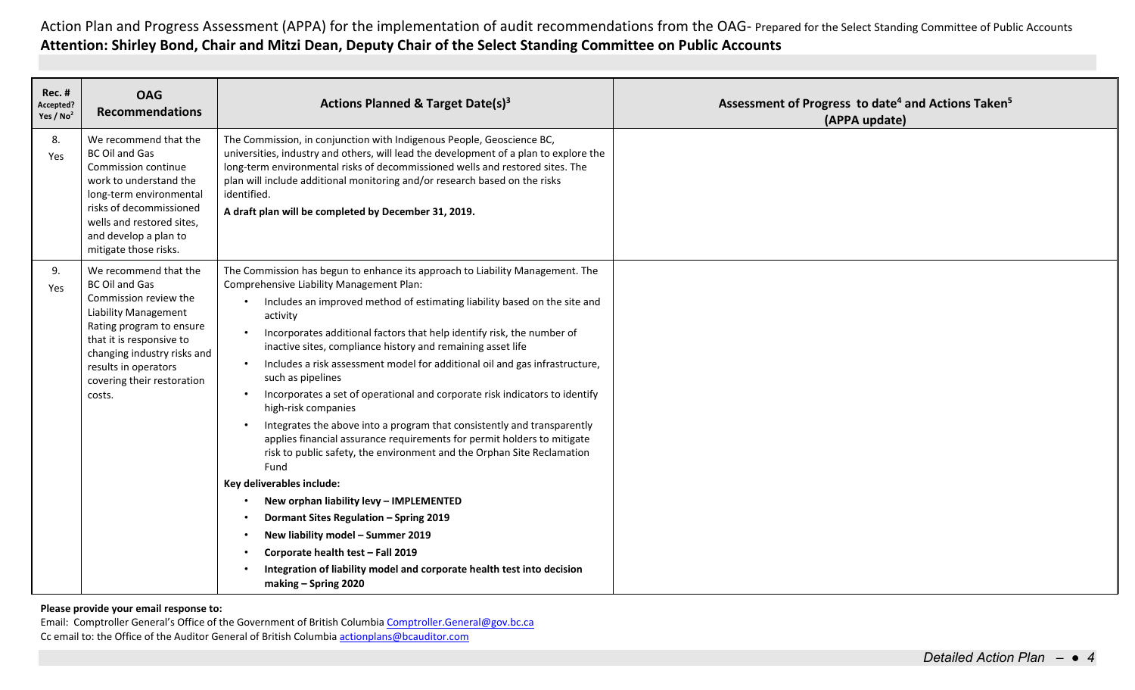| <b>Rec. #</b><br>Accepted?<br>Yes / No <sup>2</sup> | <b>OAG</b><br><b>Recommendations</b>                                                                                                                                                                                                                   | Actions Planned & Target Date(s) <sup>3</sup>                                                                                                                                                                                                                                                                                                                                                                                                                                                                                                                                                                                                                                                                                                                                                                                                                     | Assessment of Progress to date <sup>4</sup> and Actions Taken <sup>5</sup><br>(APPA update) |
|-----------------------------------------------------|--------------------------------------------------------------------------------------------------------------------------------------------------------------------------------------------------------------------------------------------------------|-------------------------------------------------------------------------------------------------------------------------------------------------------------------------------------------------------------------------------------------------------------------------------------------------------------------------------------------------------------------------------------------------------------------------------------------------------------------------------------------------------------------------------------------------------------------------------------------------------------------------------------------------------------------------------------------------------------------------------------------------------------------------------------------------------------------------------------------------------------------|---------------------------------------------------------------------------------------------|
| 8.<br>Yes                                           | We recommend that the<br><b>BC Oil and Gas</b><br>Commission continue<br>work to understand the<br>long-term environmental<br>risks of decommissioned<br>wells and restored sites,<br>and develop a plan to<br>mitigate those risks.                   | The Commission, in conjunction with Indigenous People, Geoscience BC,<br>universities, industry and others, will lead the development of a plan to explore the<br>long-term environmental risks of decommissioned wells and restored sites. The<br>plan will include additional monitoring and/or research based on the risks<br>identified.<br>A draft plan will be completed by December 31, 2019.                                                                                                                                                                                                                                                                                                                                                                                                                                                              |                                                                                             |
| 9.<br>Yes                                           | We recommend that the<br><b>BC Oil and Gas</b><br>Commission review the<br>Liability Management<br>Rating program to ensure<br>that it is responsive to<br>changing industry risks and<br>results in operators<br>covering their restoration<br>costs. | The Commission has begun to enhance its approach to Liability Management. The<br>Comprehensive Liability Management Plan:<br>Includes an improved method of estimating liability based on the site and<br>activity<br>Incorporates additional factors that help identify risk, the number of<br>$\bullet$<br>inactive sites, compliance history and remaining asset life<br>Includes a risk assessment model for additional oil and gas infrastructure,<br>$\bullet$<br>such as pipelines<br>Incorporates a set of operational and corporate risk indicators to identify<br>$\bullet$<br>high-risk companies<br>Integrates the above into a program that consistently and transparently<br>$\bullet$<br>applies financial assurance requirements for permit holders to mitigate<br>risk to public safety, the environment and the Orphan Site Reclamation<br>Fund |                                                                                             |
|                                                     |                                                                                                                                                                                                                                                        | Key deliverables include:<br>New orphan liability levy - IMPLEMENTED<br>Dormant Sites Regulation - Spring 2019<br>New liability model - Summer 2019<br>$\bullet$<br>Corporate health test - Fall 2019<br>$\bullet$<br>Integration of liability model and corporate health test into decision<br>making - Spring 2020                                                                                                                                                                                                                                                                                                                                                                                                                                                                                                                                              |                                                                                             |

**Please provide your email response to:**